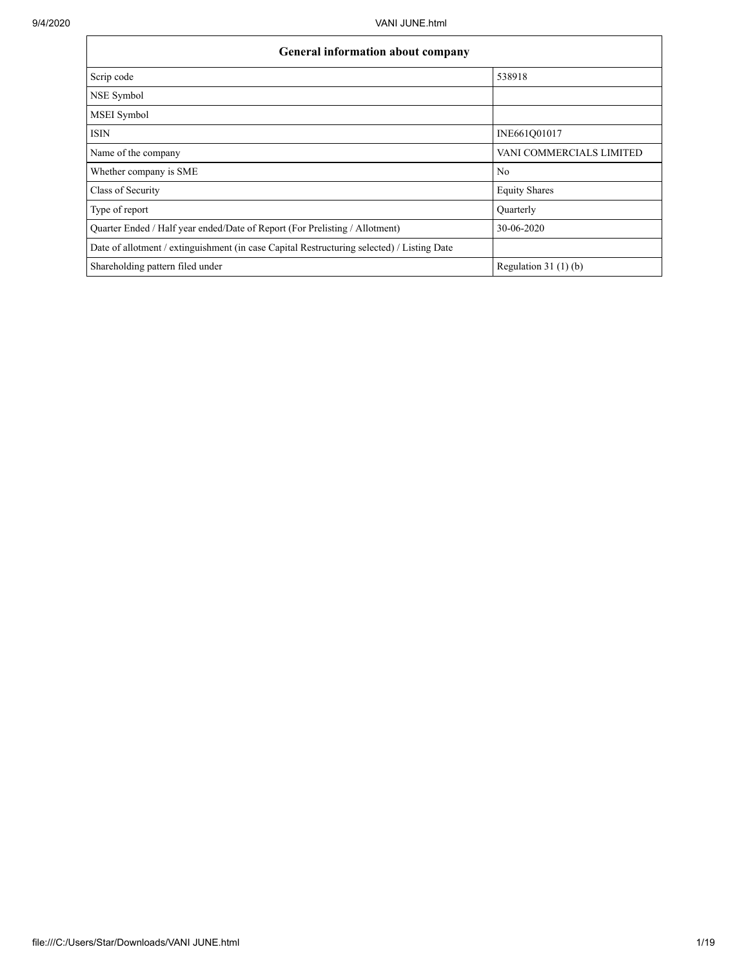$\mathbf{r}$ 

| <b>General information about company</b>                                                   |                          |  |  |  |  |  |  |  |
|--------------------------------------------------------------------------------------------|--------------------------|--|--|--|--|--|--|--|
| Scrip code                                                                                 | 538918                   |  |  |  |  |  |  |  |
| NSE Symbol                                                                                 |                          |  |  |  |  |  |  |  |
| MSEI Symbol                                                                                |                          |  |  |  |  |  |  |  |
| <b>ISIN</b>                                                                                | INE661Q01017             |  |  |  |  |  |  |  |
| Name of the company                                                                        | VANI COMMERCIALS LIMITED |  |  |  |  |  |  |  |
| Whether company is SME                                                                     | No                       |  |  |  |  |  |  |  |
| Class of Security                                                                          | <b>Equity Shares</b>     |  |  |  |  |  |  |  |
| Type of report                                                                             | Quarterly                |  |  |  |  |  |  |  |
| Quarter Ended / Half year ended/Date of Report (For Prelisting / Allotment)                | 30-06-2020               |  |  |  |  |  |  |  |
| Date of allotment / extinguishment (in case Capital Restructuring selected) / Listing Date |                          |  |  |  |  |  |  |  |
| Shareholding pattern filed under                                                           | Regulation $31(1)(b)$    |  |  |  |  |  |  |  |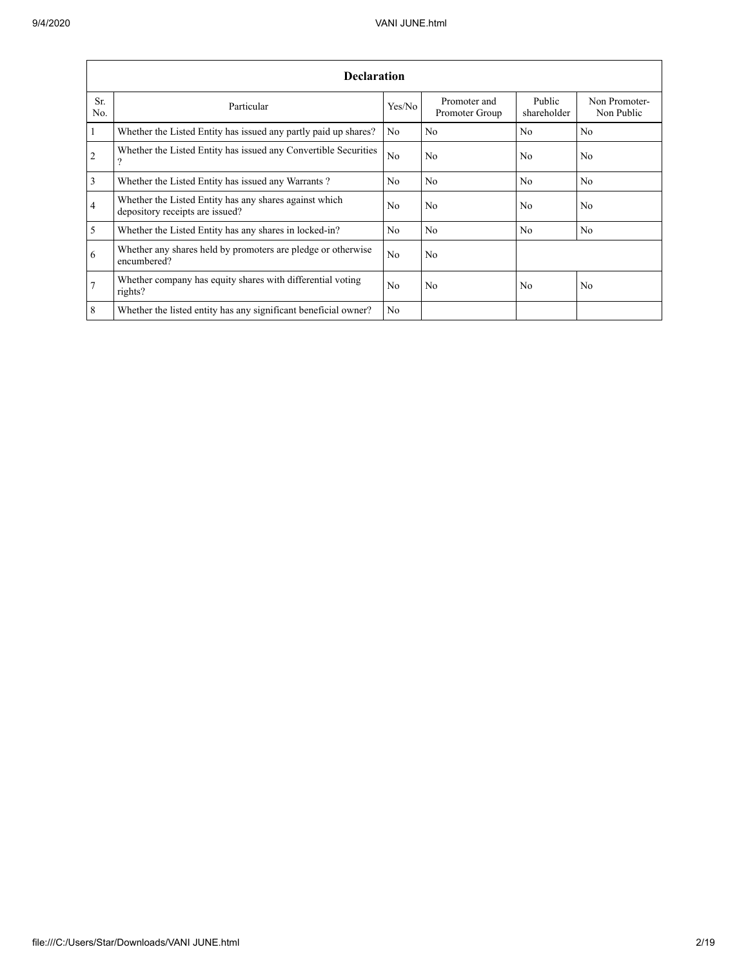|                 | <b>Declaration</b>                                                                        |                |                                |                       |                             |  |  |  |  |  |  |  |  |
|-----------------|-------------------------------------------------------------------------------------------|----------------|--------------------------------|-----------------------|-----------------------------|--|--|--|--|--|--|--|--|
| Sr.<br>No.      | Particular                                                                                | Yes/No         | Promoter and<br>Promoter Group | Public<br>shareholder | Non Promoter-<br>Non Public |  |  |  |  |  |  |  |  |
| $\mathbf{1}$    | Whether the Listed Entity has issued any partly paid up shares?                           | No             | No                             | No                    | N <sub>o</sub>              |  |  |  |  |  |  |  |  |
| 2               | Whether the Listed Entity has issued any Convertible Securities<br>?                      | No             | No.                            | N <sub>0</sub>        | N <sub>0</sub>              |  |  |  |  |  |  |  |  |
| $\overline{3}$  | Whether the Listed Entity has issued any Warrants?                                        | N <sub>0</sub> | No                             | No                    | N <sub>o</sub>              |  |  |  |  |  |  |  |  |
| $\overline{4}$  | Whether the Listed Entity has any shares against which<br>depository receipts are issued? | No             | No                             | No                    | No                          |  |  |  |  |  |  |  |  |
| $\overline{5}$  | Whether the Listed Entity has any shares in locked-in?                                    | No             | No                             | No                    | No                          |  |  |  |  |  |  |  |  |
| 6               | Whether any shares held by promoters are pledge or otherwise<br>encumbered?               | N <sub>0</sub> | No.                            |                       |                             |  |  |  |  |  |  |  |  |
| $7\phantom{.0}$ | Whether company has equity shares with differential voting<br>rights?                     | No             | No                             | No                    | No                          |  |  |  |  |  |  |  |  |
| 8               | Whether the listed entity has any significant beneficial owner?                           | N <sub>0</sub> |                                |                       |                             |  |  |  |  |  |  |  |  |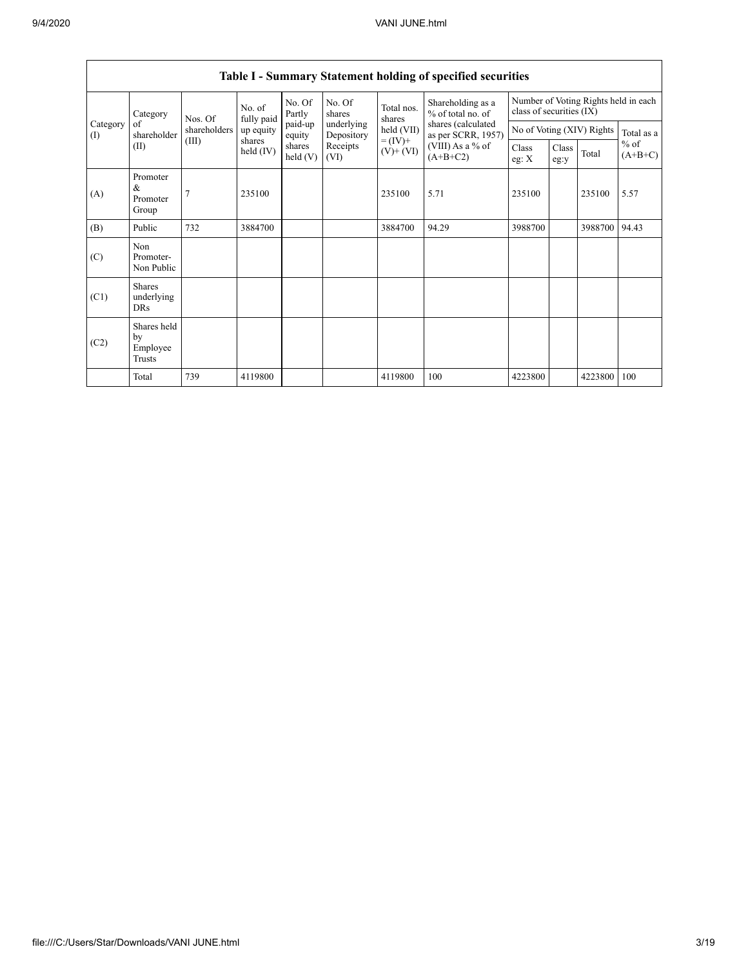|                 | Category                                  | Nos. Of      | No. of<br>fully paid | No. Of<br>Partly     | No. Of<br>shares         | Total nos.<br>shares         | Shareholding as a<br>% of total no. of   | Number of Voting Rights held in each<br>class of securities (IX) |               |         |                     |
|-----------------|-------------------------------------------|--------------|----------------------|----------------------|--------------------------|------------------------------|------------------------------------------|------------------------------------------------------------------|---------------|---------|---------------------|
| Category<br>(I) | of<br>shareholder                         | shareholders | up equity            | paid-up<br>equity    | underlying<br>Depository | held (VII)                   | shares (calculated<br>as per SCRR, 1957) | No of Voting (XIV) Rights                                        |               |         | Total as a          |
|                 | (II)                                      | (III)        | shares<br>held (IV)  | shares<br>held $(V)$ | Receipts<br>(VI)         | $= (IV) +$<br>$(V)$ + $(VI)$ | (VIII) As a % of<br>$(A+B+C2)$           | Class<br>eg: X                                                   | Class<br>eg:y | Total   | $%$ of<br>$(A+B+C)$ |
| (A)             | Promoter<br>&<br>Promoter<br>Group        | 7            | 235100               |                      |                          | 235100                       | 5.71                                     | 235100                                                           |               | 235100  | 5.57                |
| (B)             | Public                                    | 732          | 3884700              |                      |                          | 3884700                      | 94.29                                    | 3988700                                                          |               | 3988700 | 94.43               |
| (C)             | Non<br>Promoter-<br>Non Public            |              |                      |                      |                          |                              |                                          |                                                                  |               |         |                     |
| (C1)            | <b>Shares</b><br>underlying<br><b>DRs</b> |              |                      |                      |                          |                              |                                          |                                                                  |               |         |                     |
| (C2)            | Shares held<br>by<br>Employee<br>Trusts   |              |                      |                      |                          |                              |                                          |                                                                  |               |         |                     |
|                 | Total                                     | 739          | 4119800              |                      |                          | 4119800                      | 100                                      | 4223800                                                          |               | 4223800 | 100                 |

## **Table I - Summary Statement holding of specified securities**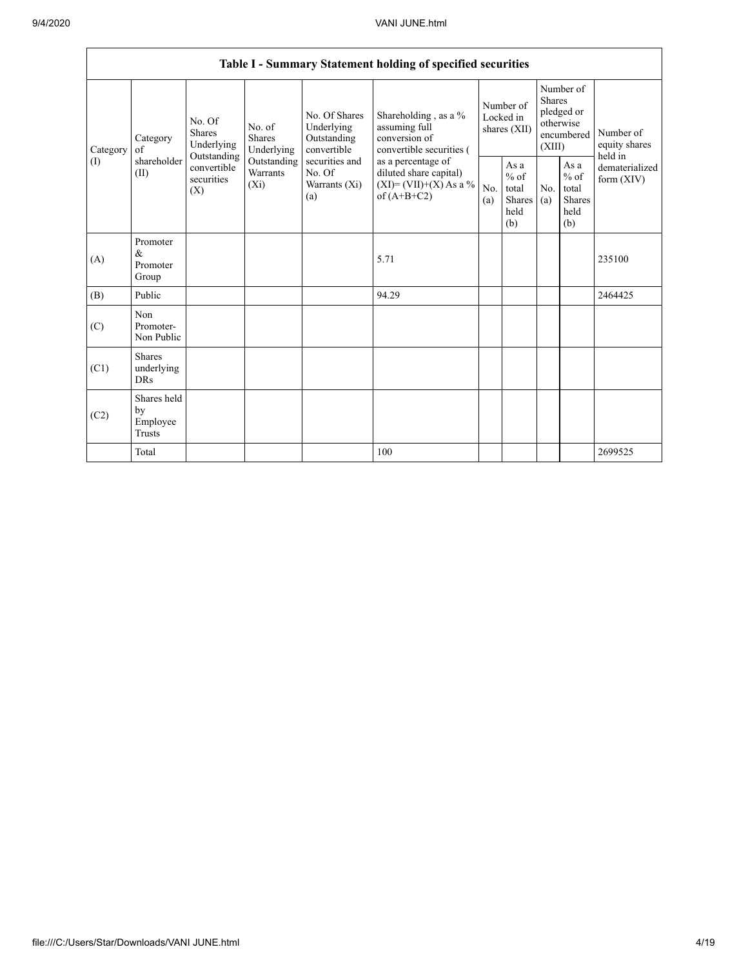|                 | Table I - Summary Statement holding of specified securities |                                                                                                                                                                         |                                                  |                                                                                            |                                                                                        |                                                         |            |                                                                               |                              |                                       |  |  |  |
|-----------------|-------------------------------------------------------------|-------------------------------------------------------------------------------------------------------------------------------------------------------------------------|--------------------------------------------------|--------------------------------------------------------------------------------------------|----------------------------------------------------------------------------------------|---------------------------------------------------------|------------|-------------------------------------------------------------------------------|------------------------------|---------------------------------------|--|--|--|
| Category<br>(1) | Category<br>of<br>shareholder<br>(II)                       | No. Of<br>No. of<br><b>Shares</b><br><b>Shares</b><br>Underlying<br>Underlying<br>Outstanding<br>Outstanding<br>convertible<br>Warrants<br>securities<br>$(X_i)$<br>(X) |                                                  | No. Of Shares<br>Underlying<br>Outstanding<br>convertible                                  | Shareholding , as a $\%$<br>assuming full<br>conversion of<br>convertible securities ( | Number of<br>Locked in<br>shares (XII)                  |            | Number of<br><b>Shares</b><br>pledged or<br>otherwise<br>encumbered<br>(XIII) |                              | Number of<br>equity shares<br>held in |  |  |  |
|                 |                                                             |                                                                                                                                                                         | securities and<br>No. Of<br>Warrants (Xi)<br>(a) | as a percentage of<br>diluted share capital)<br>$(XI) = (VII)+(X) As a %$<br>of $(A+B+C2)$ | No.<br>(a)                                                                             | As a<br>$%$ of<br>total<br><b>Shares</b><br>held<br>(b) | No.<br>(a) | As a<br>$%$ of<br>total<br><b>Shares</b><br>held<br>(b)                       | dematerialized<br>form (XIV) |                                       |  |  |  |
| (A)             | Promoter<br>&<br>Promoter<br>Group                          |                                                                                                                                                                         |                                                  |                                                                                            | 5.71                                                                                   |                                                         |            |                                                                               |                              | 235100                                |  |  |  |
| (B)             | Public                                                      |                                                                                                                                                                         |                                                  |                                                                                            | 94.29                                                                                  |                                                         |            |                                                                               |                              | 2464425                               |  |  |  |
| (C)             | Non<br>Promoter-<br>Non Public                              |                                                                                                                                                                         |                                                  |                                                                                            |                                                                                        |                                                         |            |                                                                               |                              |                                       |  |  |  |
| (C1)            | <b>Shares</b><br>underlying<br><b>DRs</b>                   |                                                                                                                                                                         |                                                  |                                                                                            |                                                                                        |                                                         |            |                                                                               |                              |                                       |  |  |  |
| (C2)            | Shares held<br>by<br>Employee<br>Trusts                     |                                                                                                                                                                         |                                                  |                                                                                            |                                                                                        |                                                         |            |                                                                               |                              |                                       |  |  |  |
|                 | Total                                                       |                                                                                                                                                                         |                                                  |                                                                                            | 100                                                                                    |                                                         |            |                                                                               |                              | 2699525                               |  |  |  |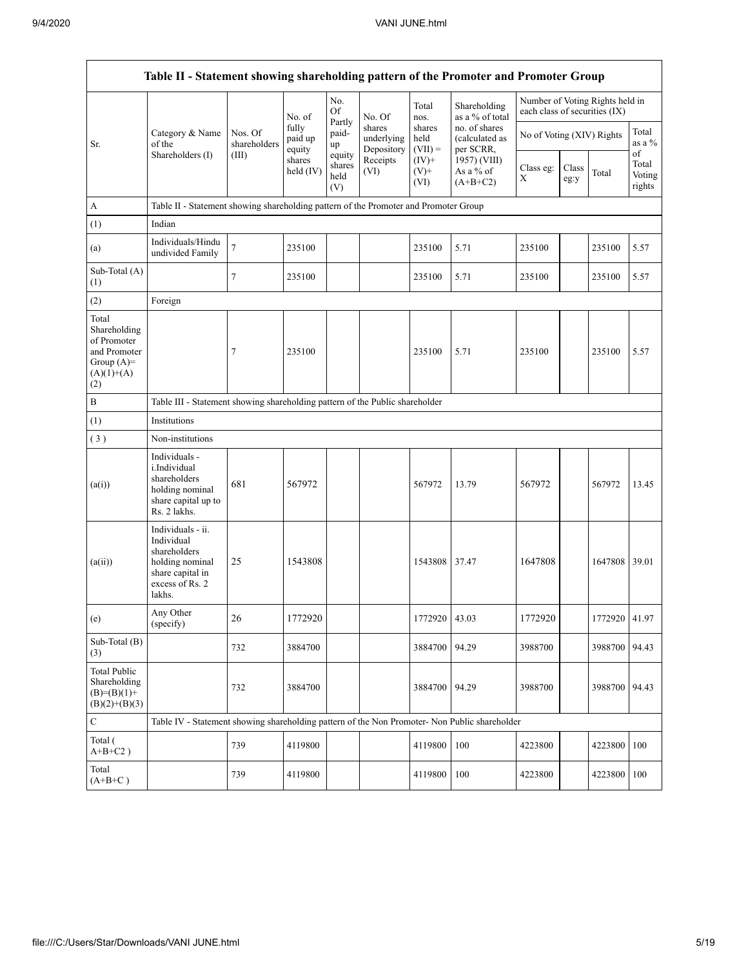Г

| Table II - Statement showing shareholding pattern of the Promoter and Promoter Group         |                                                                                                                     |                         |                            |                                 |                                    |                             |                                              |                               |               |                                 |                                 |  |
|----------------------------------------------------------------------------------------------|---------------------------------------------------------------------------------------------------------------------|-------------------------|----------------------------|---------------------------------|------------------------------------|-----------------------------|----------------------------------------------|-------------------------------|---------------|---------------------------------|---------------------------------|--|
|                                                                                              |                                                                                                                     |                         | No. of                     | No.<br>Of                       | No. Of                             | Total<br>nos.               | Shareholding<br>as a % of total              | each class of securities (IX) |               | Number of Voting Rights held in |                                 |  |
| Sr.                                                                                          | Category & Name<br>of the                                                                                           | Nos. Of<br>shareholders | fully<br>paid up<br>equity | Partly<br>paid-<br>up           | shares<br>underlying<br>Depository | shares<br>held<br>$(VII) =$ | no. of shares<br>(calculated as<br>per SCRR, | No of Voting (XIV) Rights     |               |                                 | Total<br>as a %                 |  |
|                                                                                              | Shareholders (I)                                                                                                    | (III)                   | shares<br>held $(IV)$      | equity<br>shares<br>held<br>(V) | Receipts<br>(VI)                   | $(IV)+$<br>$(V)$ +<br>(VI)  | 1957) (VIII)<br>As a % of<br>$(A+B+C2)$      | Class eg:<br>X                | Class<br>eg:y | Total                           | of<br>Total<br>Voting<br>rights |  |
| $\mathbf{A}$                                                                                 | Table II - Statement showing shareholding pattern of the Promoter and Promoter Group                                |                         |                            |                                 |                                    |                             |                                              |                               |               |                                 |                                 |  |
| (1)                                                                                          | Indian                                                                                                              |                         |                            |                                 |                                    |                             |                                              |                               |               |                                 |                                 |  |
| (a)                                                                                          | Individuals/Hindu<br>undivided Family                                                                               | $\tau$                  | 235100                     |                                 |                                    | 235100                      | 5.71                                         | 235100                        |               | 235100                          | 5.57                            |  |
| Sub-Total (A)<br>(1)                                                                         |                                                                                                                     | 7                       | 235100                     |                                 |                                    | 235100                      | 5.71                                         | 235100                        |               | 235100                          | 5.57                            |  |
| (2)                                                                                          | Foreign                                                                                                             |                         |                            |                                 |                                    |                             |                                              |                               |               |                                 |                                 |  |
| Total<br>Shareholding<br>of Promoter<br>and Promoter<br>Group $(A)$ =<br>$(A)(1)+(A)$<br>(2) |                                                                                                                     | 7                       | 235100                     |                                 |                                    | 235100                      | 5.71                                         | 235100                        |               | 235100                          | 5.57                            |  |
| $\, {\bf B}$                                                                                 | Table III - Statement showing shareholding pattern of the Public shareholder                                        |                         |                            |                                 |                                    |                             |                                              |                               |               |                                 |                                 |  |
| (1)                                                                                          | <b>Institutions</b>                                                                                                 |                         |                            |                                 |                                    |                             |                                              |                               |               |                                 |                                 |  |
| (3)                                                                                          | Non-institutions                                                                                                    |                         |                            |                                 |                                    |                             |                                              |                               |               |                                 |                                 |  |
| (a(i))                                                                                       | Individuals -<br>i.Individual<br>shareholders<br>holding nominal<br>share capital up to<br>Rs. 2 lakhs.             | 681                     | 567972                     |                                 |                                    | 567972                      | 13.79                                        | 567972                        |               | 567972                          | 13.45                           |  |
| (a(ii))                                                                                      | Individuals - ii.<br>Individual<br>shareholders<br>holding nominal<br>share capital in<br>excess of Rs. 2<br>lakhs. | 25                      | 1543808                    |                                 |                                    | 1543808                     | 37.47                                        | 1647808                       |               | 1647808                         | 39.01                           |  |
| (e)                                                                                          | Any Other<br>(specify)                                                                                              | 26                      | 1772920                    |                                 |                                    | 1772920 43.03               |                                              | 1772920                       |               | 1772920 41.97                   |                                 |  |
| Sub-Total (B)<br>(3)                                                                         |                                                                                                                     | 732                     | 3884700                    |                                 |                                    | 3884700                     | 94.29                                        | 3988700                       |               | 3988700                         | 94.43                           |  |
| <b>Total Public</b><br>Shareholding<br>$(B)=(B)(1)+$<br>$(B)(2)+(B)(3)$                      |                                                                                                                     | 732                     | 3884700                    |                                 |                                    | 3884700                     | 94.29                                        | 3988700                       |               | 3988700 94.43                   |                                 |  |
| $\mathbf C$                                                                                  | Table IV - Statement showing shareholding pattern of the Non Promoter- Non Public shareholder                       |                         |                            |                                 |                                    |                             |                                              |                               |               |                                 |                                 |  |
| Total (<br>$A+B+C2$ )                                                                        |                                                                                                                     | 739                     | 4119800                    |                                 |                                    | 4119800                     | 100                                          | 4223800                       |               | 4223800 100                     |                                 |  |
| Total<br>$(A+B+C)$                                                                           |                                                                                                                     | 739                     | 4119800                    |                                 |                                    | 4119800                     | 100                                          | 4223800                       |               | 4223800 100                     |                                 |  |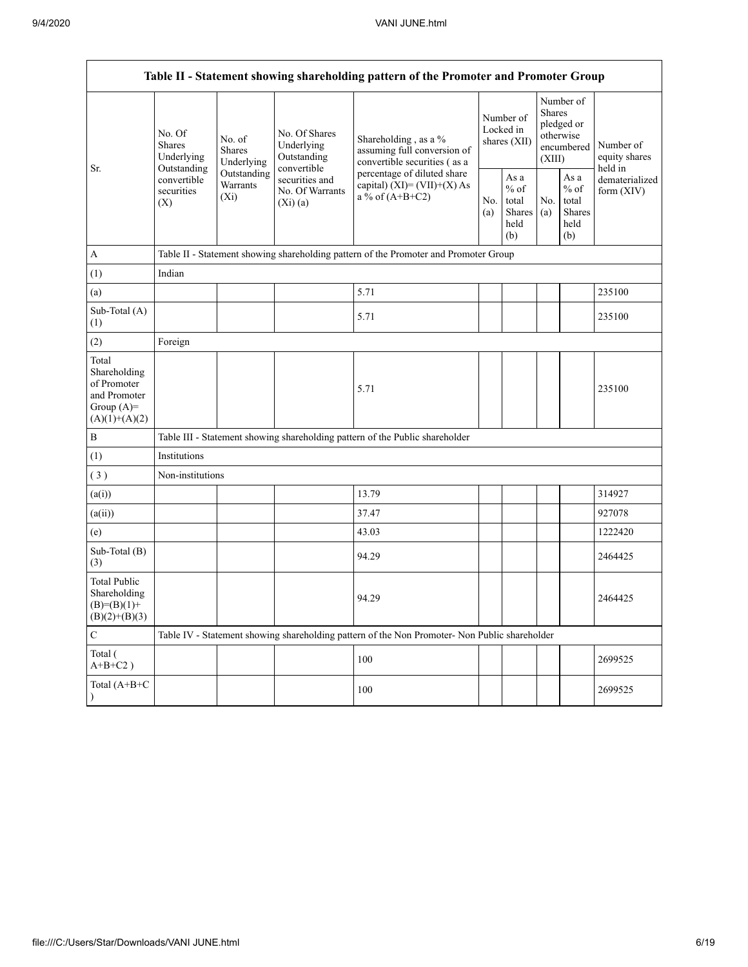Г

|                                                                                         | Table II - Statement showing shareholding pattern of the Promoter and Promoter Group         |                                |                                                           |                                                                                               |            |                                                  |                                                                               |                                                  |                                       |  |  |  |  |  |
|-----------------------------------------------------------------------------------------|----------------------------------------------------------------------------------------------|--------------------------------|-----------------------------------------------------------|-----------------------------------------------------------------------------------------------|------------|--------------------------------------------------|-------------------------------------------------------------------------------|--------------------------------------------------|---------------------------------------|--|--|--|--|--|
|                                                                                         | No. Of<br>Shares<br>Underlying<br>Outstanding<br>convertible<br>securities<br>$(X_i)$<br>(X) | No. of<br>Shares<br>Underlying | No. Of Shares<br>Underlying<br>Outstanding<br>convertible | Shareholding, as a %<br>assuming full conversion of<br>convertible securities (as a           |            | Number of<br>Locked in<br>shares (XII)           | Number of<br><b>Shares</b><br>pledged or<br>otherwise<br>encumbered<br>(XIII) |                                                  | Number of<br>equity shares<br>held in |  |  |  |  |  |
| Sr.                                                                                     |                                                                                              | Outstanding<br>Warrants        | securities and<br>No. Of Warrants<br>(Xi)(a)              | percentage of diluted share<br>capital) $(XI) = (VII)+(X) As$<br>a % of $(A+B+C2)$            | No.<br>(a) | As a<br>$%$ of<br>total<br>Shares<br>held<br>(b) | No.<br>(a)                                                                    | As a<br>$%$ of<br>total<br>Shares<br>held<br>(b) | dematerialized<br>form $(XIV)$        |  |  |  |  |  |
| $\mathbf{A}$                                                                            |                                                                                              |                                |                                                           | Table II - Statement showing shareholding pattern of the Promoter and Promoter Group          |            |                                                  |                                                                               |                                                  |                                       |  |  |  |  |  |
| (1)                                                                                     | Indian                                                                                       |                                |                                                           |                                                                                               |            |                                                  |                                                                               |                                                  |                                       |  |  |  |  |  |
| (a)                                                                                     |                                                                                              |                                |                                                           | 5.71                                                                                          |            |                                                  |                                                                               |                                                  | 235100                                |  |  |  |  |  |
| Sub-Total (A)<br>(1)                                                                    |                                                                                              |                                |                                                           | 5.71                                                                                          |            |                                                  |                                                                               |                                                  | 235100                                |  |  |  |  |  |
| (2)                                                                                     | Foreign                                                                                      |                                |                                                           |                                                                                               |            |                                                  |                                                                               |                                                  |                                       |  |  |  |  |  |
| Total<br>Shareholding<br>of Promoter<br>and Promoter<br>Group $(A)=$<br>$(A)(1)+(A)(2)$ |                                                                                              |                                |                                                           | 5.71                                                                                          |            |                                                  |                                                                               |                                                  | 235100                                |  |  |  |  |  |
| $\, {\bf B}$                                                                            |                                                                                              |                                |                                                           | Table III - Statement showing shareholding pattern of the Public shareholder                  |            |                                                  |                                                                               |                                                  |                                       |  |  |  |  |  |
| (1)                                                                                     | Institutions                                                                                 |                                |                                                           |                                                                                               |            |                                                  |                                                                               |                                                  |                                       |  |  |  |  |  |
| (3)                                                                                     | Non-institutions                                                                             |                                |                                                           |                                                                                               |            |                                                  |                                                                               |                                                  |                                       |  |  |  |  |  |
| (a(i))                                                                                  |                                                                                              |                                |                                                           | 13.79                                                                                         |            |                                                  |                                                                               |                                                  | 314927                                |  |  |  |  |  |
| (a(ii))                                                                                 |                                                                                              |                                |                                                           | 37.47                                                                                         |            |                                                  |                                                                               |                                                  | 927078                                |  |  |  |  |  |
| (e)                                                                                     |                                                                                              |                                |                                                           | 43.03                                                                                         |            |                                                  |                                                                               |                                                  | 1222420                               |  |  |  |  |  |
| Sub-Total (B)<br>(3)                                                                    |                                                                                              |                                |                                                           | 94.29                                                                                         |            |                                                  |                                                                               |                                                  | 2464425                               |  |  |  |  |  |
| <b>Total Public</b><br>Shareholding<br>$(B)=(B)(1)+$<br>$(B)(2)+(B)(3)$                 |                                                                                              |                                |                                                           | 94.29                                                                                         |            |                                                  |                                                                               |                                                  | 2464425                               |  |  |  |  |  |
| $\mathbf C$                                                                             |                                                                                              |                                |                                                           | Table IV - Statement showing shareholding pattern of the Non Promoter- Non Public shareholder |            |                                                  |                                                                               |                                                  |                                       |  |  |  |  |  |
| Total (<br>$A+B+C2$ )                                                                   |                                                                                              |                                |                                                           | 100                                                                                           |            |                                                  |                                                                               |                                                  | 2699525                               |  |  |  |  |  |
| Total (A+B+C                                                                            |                                                                                              |                                |                                                           | 100                                                                                           |            |                                                  |                                                                               |                                                  | 2699525                               |  |  |  |  |  |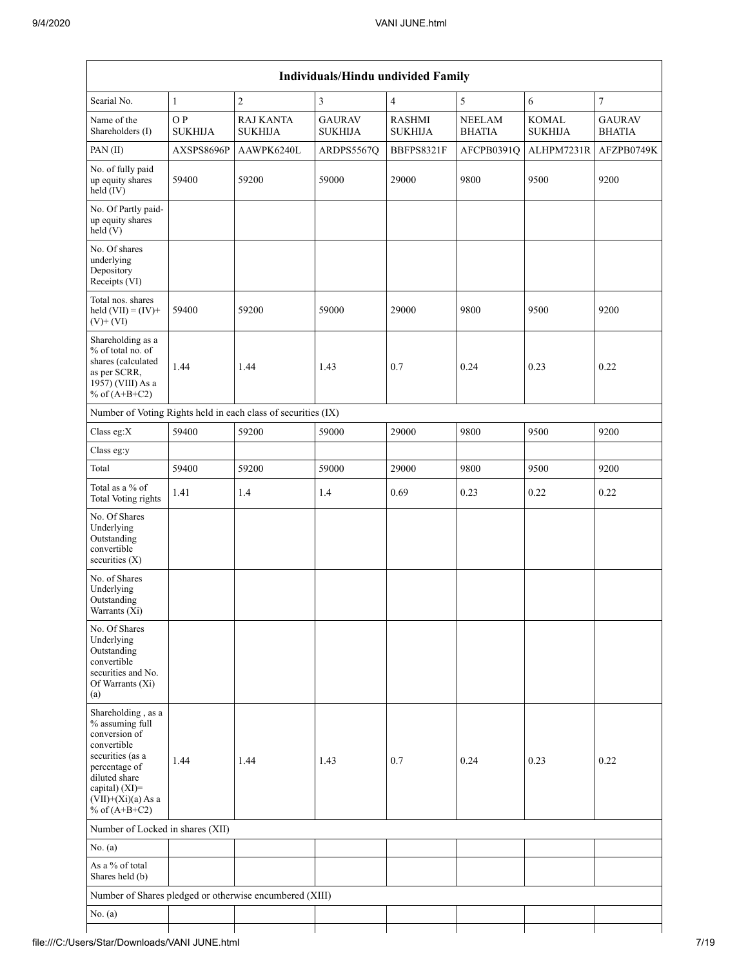|                                                                                                                                                                                          |                       |                                                               | <b>Individuals/Hindu undivided Family</b> |                                 |                                |                                |                                |
|------------------------------------------------------------------------------------------------------------------------------------------------------------------------------------------|-----------------------|---------------------------------------------------------------|-------------------------------------------|---------------------------------|--------------------------------|--------------------------------|--------------------------------|
| Searial No.                                                                                                                                                                              | $\mathbf{1}$          | $\overline{2}$                                                | 3                                         | $\overline{4}$                  | 5                              | 6                              | $\overline{7}$                 |
| Name of the<br>Shareholders (I)                                                                                                                                                          | O P<br><b>SUKHIJA</b> | <b>RAJ KANTA</b><br><b>SUKHIJA</b>                            | <b>GAURAV</b><br><b>SUKHIJA</b>           | <b>RASHMI</b><br><b>SUKHIJA</b> | <b>NEELAM</b><br><b>BHATIA</b> | <b>KOMAL</b><br><b>SUKHIJA</b> | <b>GAURAV</b><br><b>BHATIA</b> |
| PAN(II)                                                                                                                                                                                  | AXSPS8696P            | AAWPK6240L                                                    | ARDPS5567Q                                | BBFPS8321F                      | AFCPB0391Q                     | ALHPM7231R                     | AFZPB0749K                     |
| No. of fully paid<br>up equity shares<br>held (IV)                                                                                                                                       | 59400                 | 59200                                                         | 59000                                     | 29000                           | 9800                           | 9500                           | 9200                           |
| No. Of Partly paid-<br>up equity shares<br>held(V)                                                                                                                                       |                       |                                                               |                                           |                                 |                                |                                |                                |
| No. Of shares<br>underlying<br>Depository<br>Receipts (VI)                                                                                                                               |                       |                                                               |                                           |                                 |                                |                                |                                |
| Total nos. shares<br>held $(VII) = (IV) +$<br>$(V)$ + $(VI)$                                                                                                                             | 59400                 | 59200                                                         | 59000                                     | 29000                           | 9800                           | 9500                           | 9200                           |
| Shareholding as a<br>% of total no. of<br>shares (calculated<br>as per SCRR,<br>1957) (VIII) As a<br>% of $(A+B+C2)$                                                                     | 1.44                  | 1.44                                                          | 1.43                                      | 0.7                             | 0.24                           | 0.23                           | 0.22                           |
|                                                                                                                                                                                          |                       | Number of Voting Rights held in each class of securities (IX) |                                           |                                 |                                |                                |                                |
| Class eg:X                                                                                                                                                                               | 59400                 | 59200                                                         | 59000                                     | 29000                           | 9800                           | 9500                           | 9200                           |
| Class eg:y                                                                                                                                                                               |                       |                                                               |                                           |                                 |                                |                                |                                |
| Total                                                                                                                                                                                    | 59400                 | 59200                                                         | 59000                                     | 29000                           | 9800                           | 9500                           | 9200                           |
| Total as a % of<br>Total Voting rights                                                                                                                                                   | 1.41                  | 1.4                                                           | 1.4                                       | 0.69                            | 0.23                           | 0.22                           | 0.22                           |
| No. Of Shares<br>Underlying<br>Outstanding<br>convertible<br>securities $(X)$                                                                                                            |                       |                                                               |                                           |                                 |                                |                                |                                |
| No. of Shares<br>Underlying<br>Outstanding<br>Warrants (Xi)                                                                                                                              |                       |                                                               |                                           |                                 |                                |                                |                                |
| No. Of Shares<br>Underlying<br>Outstanding<br>convertible<br>securities and No.<br>Of Warrants (Xi)<br>(a)                                                                               |                       |                                                               |                                           |                                 |                                |                                |                                |
| Shareholding, as a<br>% assuming full<br>conversion of<br>convertible<br>securities (as a<br>percentage of<br>diluted share<br>capital) (XI)=<br>$(VII)+(Xi)(a) As a$<br>% of $(A+B+C2)$ | 1.44                  | 1.44                                                          | 1.43                                      | 0.7                             | 0.24                           | 0.23                           | 0.22                           |
| Number of Locked in shares (XII)                                                                                                                                                         |                       |                                                               |                                           |                                 |                                |                                |                                |
| No. (a)                                                                                                                                                                                  |                       |                                                               |                                           |                                 |                                |                                |                                |
| As a % of total<br>Shares held (b)                                                                                                                                                       |                       |                                                               |                                           |                                 |                                |                                |                                |
|                                                                                                                                                                                          |                       | Number of Shares pledged or otherwise encumbered (XIII)       |                                           |                                 |                                |                                |                                |
| No. (a)                                                                                                                                                                                  |                       |                                                               |                                           |                                 |                                |                                |                                |
|                                                                                                                                                                                          |                       |                                                               |                                           |                                 |                                |                                |                                |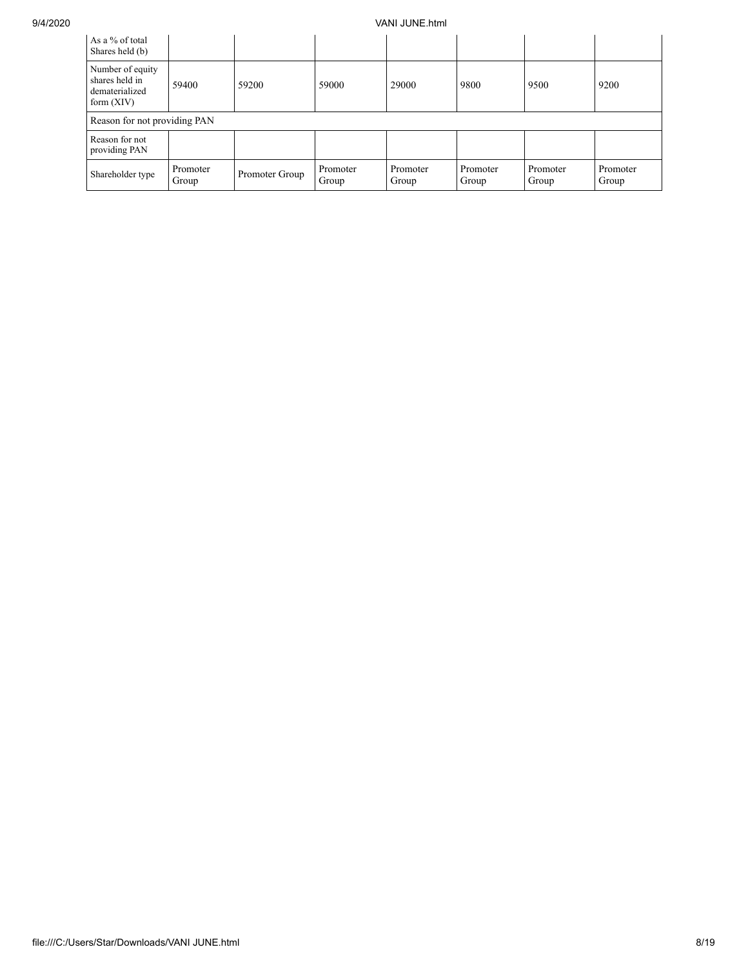## 9/4/2020 VANI JUNE.html

| As a % of total<br>Shares held (b)                                   |                   |                |                   |                   |                   |                   |                   |  |  |  |  |
|----------------------------------------------------------------------|-------------------|----------------|-------------------|-------------------|-------------------|-------------------|-------------------|--|--|--|--|
| Number of equity<br>shares held in<br>dematerialized<br>form $(XIV)$ | 59400             | 59200          | 59000             | 29000             | 9800              | 9500              | 9200              |  |  |  |  |
| Reason for not providing PAN                                         |                   |                |                   |                   |                   |                   |                   |  |  |  |  |
| Reason for not<br>providing PAN                                      |                   |                |                   |                   |                   |                   |                   |  |  |  |  |
| Shareholder type                                                     | Promoter<br>Group | Promoter Group | Promoter<br>Group | Promoter<br>Group | Promoter<br>Group | Promoter<br>Group | Promoter<br>Group |  |  |  |  |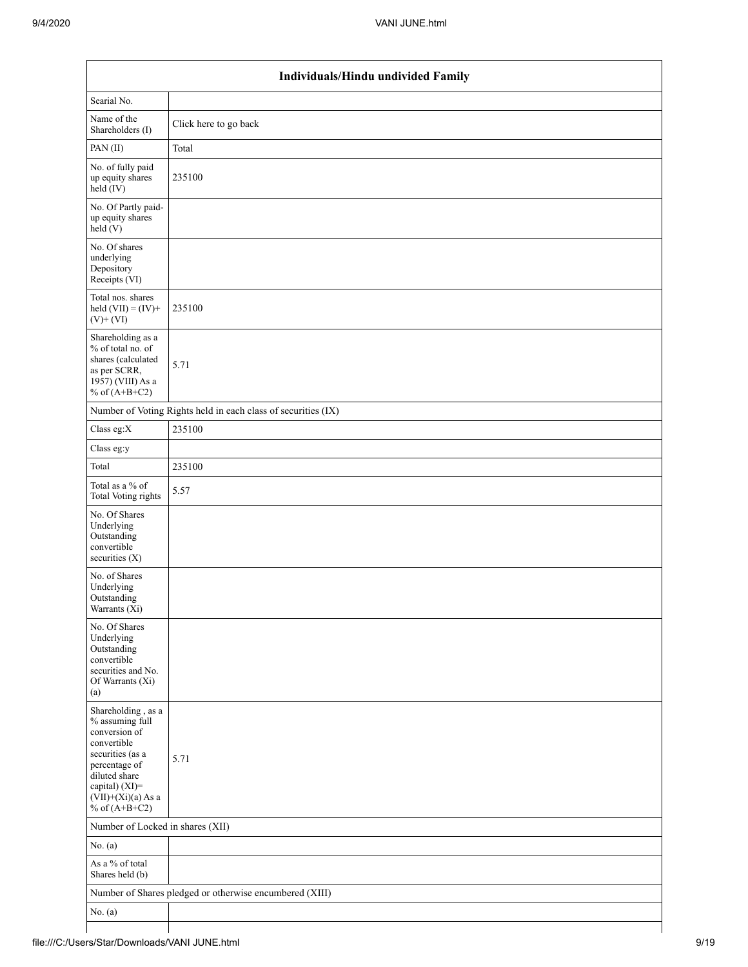| Individuals/Hindu undivided Family                                                                                                                                                       |                                                               |  |  |  |  |  |  |  |  |
|------------------------------------------------------------------------------------------------------------------------------------------------------------------------------------------|---------------------------------------------------------------|--|--|--|--|--|--|--|--|
| Searial No.                                                                                                                                                                              |                                                               |  |  |  |  |  |  |  |  |
| Name of the<br>Shareholders (I)                                                                                                                                                          | Click here to go back                                         |  |  |  |  |  |  |  |  |
| PAN(II)                                                                                                                                                                                  | Total                                                         |  |  |  |  |  |  |  |  |
| No. of fully paid<br>up equity shares<br>held (IV)                                                                                                                                       | 235100                                                        |  |  |  |  |  |  |  |  |
| No. Of Partly paid-<br>up equity shares<br>held(V)                                                                                                                                       |                                                               |  |  |  |  |  |  |  |  |
| No. Of shares<br>underlying<br>Depository<br>Receipts (VI)                                                                                                                               |                                                               |  |  |  |  |  |  |  |  |
| Total nos. shares<br>held $(VII) = (IV) +$<br>$(V)$ + $(VI)$                                                                                                                             | 235100                                                        |  |  |  |  |  |  |  |  |
| Shareholding as a<br>% of total no. of<br>shares (calculated<br>as per SCRR,<br>1957) (VIII) As a<br>% of $(A+B+C2)$                                                                     | 5.71                                                          |  |  |  |  |  |  |  |  |
|                                                                                                                                                                                          | Number of Voting Rights held in each class of securities (IX) |  |  |  |  |  |  |  |  |
| Class eg: $X$                                                                                                                                                                            | 235100                                                        |  |  |  |  |  |  |  |  |
| Class eg:y                                                                                                                                                                               |                                                               |  |  |  |  |  |  |  |  |
| Total                                                                                                                                                                                    | 235100                                                        |  |  |  |  |  |  |  |  |
| Total as a $\%$ of<br>Total Voting rights                                                                                                                                                | 5.57                                                          |  |  |  |  |  |  |  |  |
| No. Of Shares<br>Underlying<br>Outstanding<br>convertible<br>securities $(X)$                                                                                                            |                                                               |  |  |  |  |  |  |  |  |
| No. of Shares<br>Underlying<br>Outstanding<br>Warrants $(Xi)$                                                                                                                            |                                                               |  |  |  |  |  |  |  |  |
| No. Of Shares<br>Underlying<br>Outstanding<br>convertible<br>securities and No.<br>Of Warrants (Xi)<br>(a)                                                                               |                                                               |  |  |  |  |  |  |  |  |
| Shareholding, as a<br>% assuming full<br>conversion of<br>convertible<br>securities (as a<br>percentage of<br>diluted share<br>capital) (XI)=<br>$(VII)+(Xi)(a)$ As a<br>% of $(A+B+C2)$ | 5.71                                                          |  |  |  |  |  |  |  |  |
| Number of Locked in shares (XII)                                                                                                                                                         |                                                               |  |  |  |  |  |  |  |  |
| No. $(a)$                                                                                                                                                                                |                                                               |  |  |  |  |  |  |  |  |
| As a % of total<br>Shares held (b)                                                                                                                                                       |                                                               |  |  |  |  |  |  |  |  |
|                                                                                                                                                                                          | Number of Shares pledged or otherwise encumbered (XIII)       |  |  |  |  |  |  |  |  |
| No. $(a)$                                                                                                                                                                                |                                                               |  |  |  |  |  |  |  |  |
|                                                                                                                                                                                          |                                                               |  |  |  |  |  |  |  |  |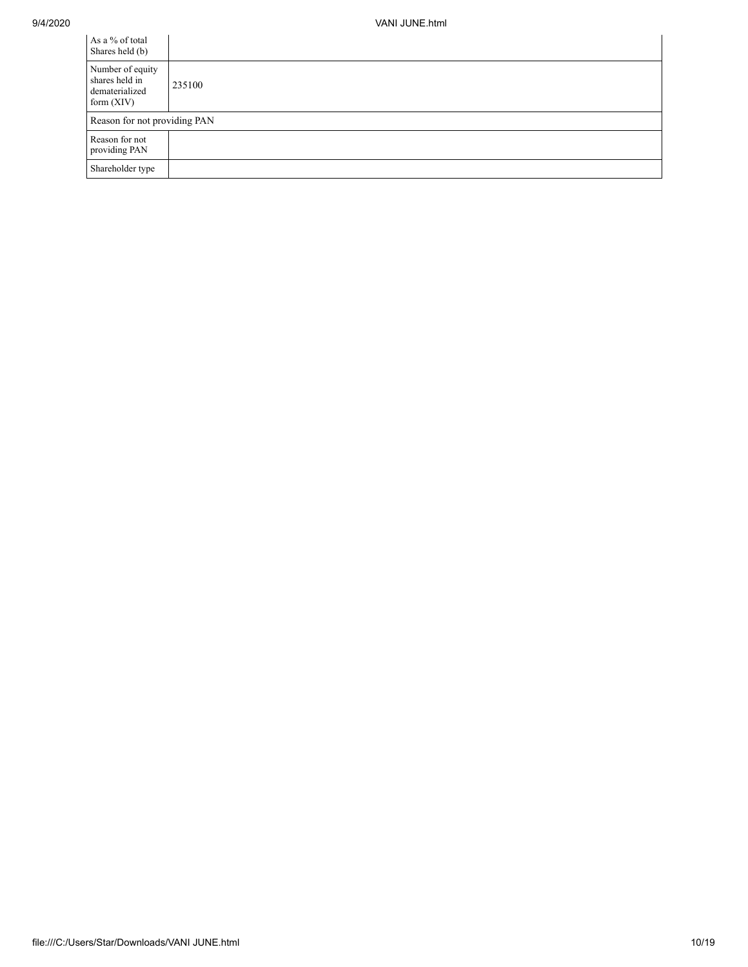| As a % of total<br>Shares held (b)                                   |                              |  |  |  |  |  |  |  |  |
|----------------------------------------------------------------------|------------------------------|--|--|--|--|--|--|--|--|
| Number of equity<br>shares held in<br>dematerialized<br>form $(XIV)$ | 235100                       |  |  |  |  |  |  |  |  |
|                                                                      | Reason for not providing PAN |  |  |  |  |  |  |  |  |
| Reason for not<br>providing PAN                                      |                              |  |  |  |  |  |  |  |  |
| Shareholder type                                                     |                              |  |  |  |  |  |  |  |  |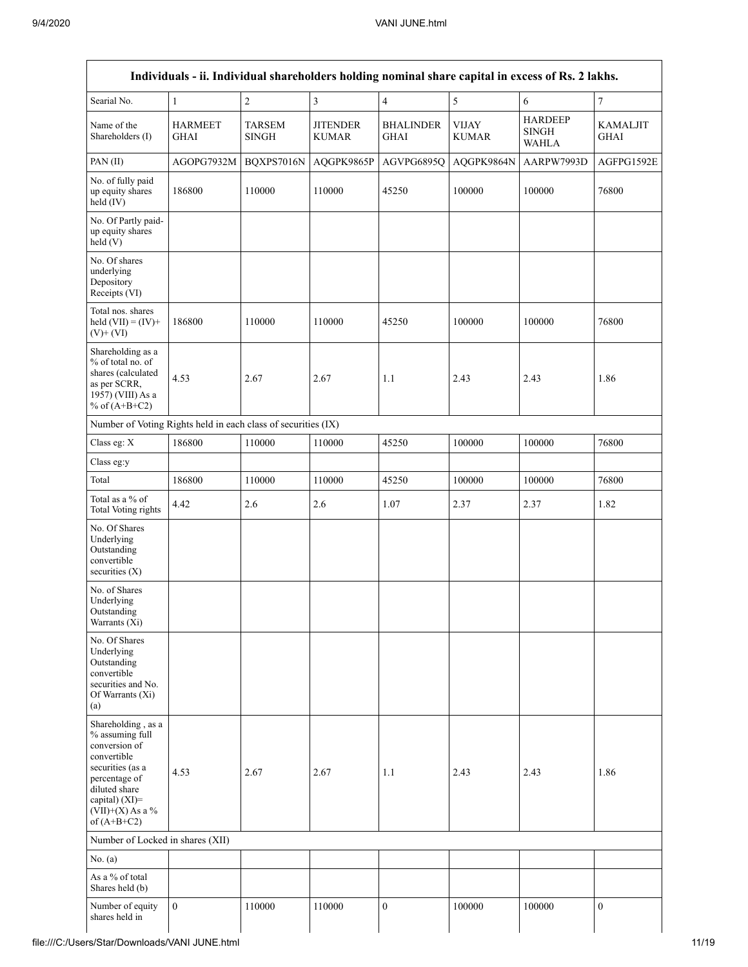|                                                                                                                                                                                      |                               |                               |                                 |                                 |                              | Individuals - ii. Individual shareholders holding nominal share capital in excess of Rs. 2 lakhs. |                                |  |  |  |  |
|--------------------------------------------------------------------------------------------------------------------------------------------------------------------------------------|-------------------------------|-------------------------------|---------------------------------|---------------------------------|------------------------------|---------------------------------------------------------------------------------------------------|--------------------------------|--|--|--|--|
| Searial No.                                                                                                                                                                          | $\mathbf{1}$                  | $\sqrt{2}$                    | 3                               | $\overline{4}$                  | 5                            | 6                                                                                                 | 7                              |  |  |  |  |
| Name of the<br>Shareholders (I)                                                                                                                                                      | <b>HARMEET</b><br><b>GHAI</b> | <b>TARSEM</b><br><b>SINGH</b> | <b>JITENDER</b><br><b>KUMAR</b> | <b>BHALINDER</b><br><b>GHAI</b> | <b>VIJAY</b><br><b>KUMAR</b> | <b>HARDEEP</b><br><b>SINGH</b><br><b>WAHLA</b>                                                    | <b>KAMALJIT</b><br><b>GHAI</b> |  |  |  |  |
| PAN (II)                                                                                                                                                                             | AGOPG7932M                    | BQXPS7016N                    | AQGPK9865P                      | AGVPG6895Q                      | AQGPK9864N                   | AARPW7993D                                                                                        | AGFPG1592E                     |  |  |  |  |
| No. of fully paid<br>up equity shares<br>held (IV)                                                                                                                                   | 186800                        | 110000                        | 110000                          | 45250                           | 100000                       | 100000                                                                                            | 76800                          |  |  |  |  |
| No. Of Partly paid-<br>up equity shares<br>held (V)                                                                                                                                  |                               |                               |                                 |                                 |                              |                                                                                                   |                                |  |  |  |  |
| No. Of shares<br>underlying<br>Depository<br>Receipts (VI)                                                                                                                           |                               |                               |                                 |                                 |                              |                                                                                                   |                                |  |  |  |  |
| Total nos. shares<br>held $(VII) = (IV) +$<br>$(V)$ + $(VI)$                                                                                                                         | 186800                        | 110000                        | 110000                          | 45250                           | 100000                       | 100000                                                                                            | 76800                          |  |  |  |  |
| Shareholding as a<br>% of total no. of<br>shares (calculated<br>as per SCRR,<br>1957) (VIII) As a<br>% of $(A+B+C2)$                                                                 | 4.53                          | 2.67                          | 2.67                            | 1.1                             | 2.43                         | 2.43                                                                                              | 1.86                           |  |  |  |  |
| Number of Voting Rights held in each class of securities (IX)                                                                                                                        |                               |                               |                                 |                                 |                              |                                                                                                   |                                |  |  |  |  |
| Class eg: X                                                                                                                                                                          | 186800                        | 110000                        | 110000                          | 45250                           | 100000                       | 100000                                                                                            | 76800                          |  |  |  |  |
| Class eg:y                                                                                                                                                                           |                               |                               |                                 |                                 |                              |                                                                                                   |                                |  |  |  |  |
| Total                                                                                                                                                                                | 186800                        | 110000                        | 110000                          | 45250                           | 100000                       | 100000                                                                                            | 76800                          |  |  |  |  |
| Total as a % of<br>Total Voting rights                                                                                                                                               | 4.42                          | 2.6                           | 2.6                             | 1.07                            | 2.37                         | 2.37                                                                                              | 1.82                           |  |  |  |  |
| No. Of Shares<br>Underlying<br>Outstanding<br>convertible<br>securities $(X)$                                                                                                        |                               |                               |                                 |                                 |                              |                                                                                                   |                                |  |  |  |  |
| No. of Shares<br>Underlying<br>Outstanding<br>Warrants (Xi)                                                                                                                          |                               |                               |                                 |                                 |                              |                                                                                                   |                                |  |  |  |  |
| No. Of Shares<br>Underlying<br>Outstanding<br>convertible<br>securities and No.<br>Of Warrants (Xi)<br>(a)                                                                           |                               |                               |                                 |                                 |                              |                                                                                                   |                                |  |  |  |  |
| Shareholding, as a<br>% assuming full<br>conversion of<br>convertible<br>securities (as a<br>percentage of<br>diluted share<br>capital) (XI)=<br>$(VII)+(X)$ As a %<br>of $(A+B+C2)$ | 4.53                          | 2.67                          | 2.67                            | 1.1                             | 2.43                         | 2.43                                                                                              | 1.86                           |  |  |  |  |
| Number of Locked in shares (XII)                                                                                                                                                     |                               |                               |                                 |                                 |                              |                                                                                                   |                                |  |  |  |  |
| No. (a)                                                                                                                                                                              |                               |                               |                                 |                                 |                              |                                                                                                   |                                |  |  |  |  |
| As a % of total<br>Shares held (b)                                                                                                                                                   |                               |                               |                                 |                                 |                              |                                                                                                   |                                |  |  |  |  |
| Number of equity<br>shares held in                                                                                                                                                   | $\mathbf{0}$                  | 110000                        | 110000                          | $\mathbf{0}$                    | 100000                       | 100000                                                                                            | $\mathbf{0}$                   |  |  |  |  |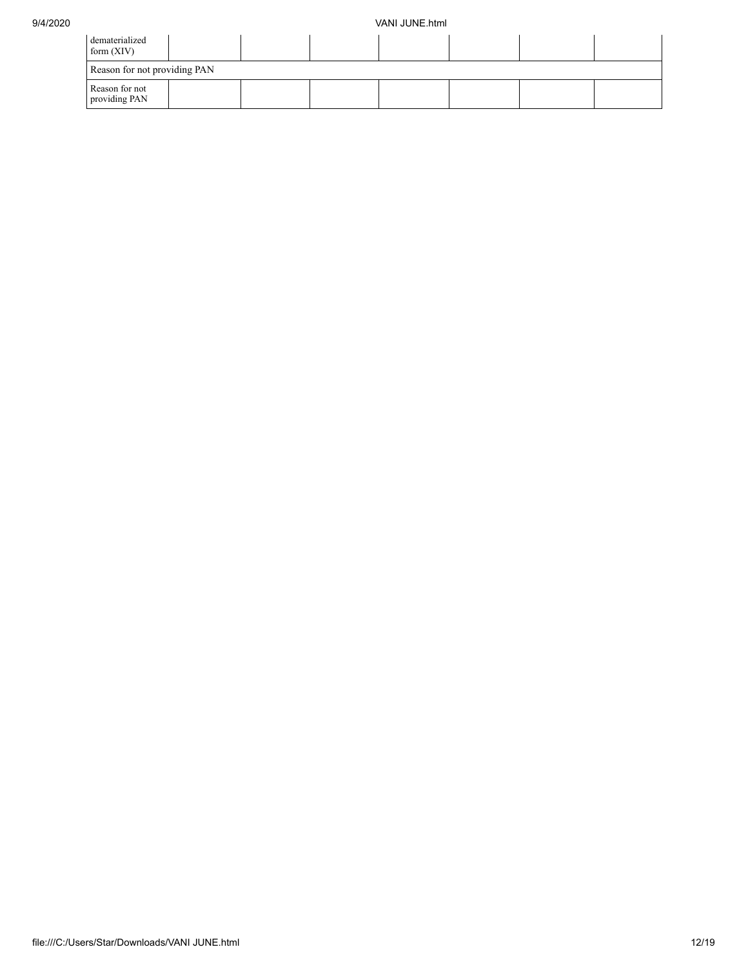| dematerialized<br>form $(XIV)$  |  |  |  |  |  |  |  |  |  |
|---------------------------------|--|--|--|--|--|--|--|--|--|
| Reason for not providing PAN    |  |  |  |  |  |  |  |  |  |
| Reason for not<br>providing PAN |  |  |  |  |  |  |  |  |  |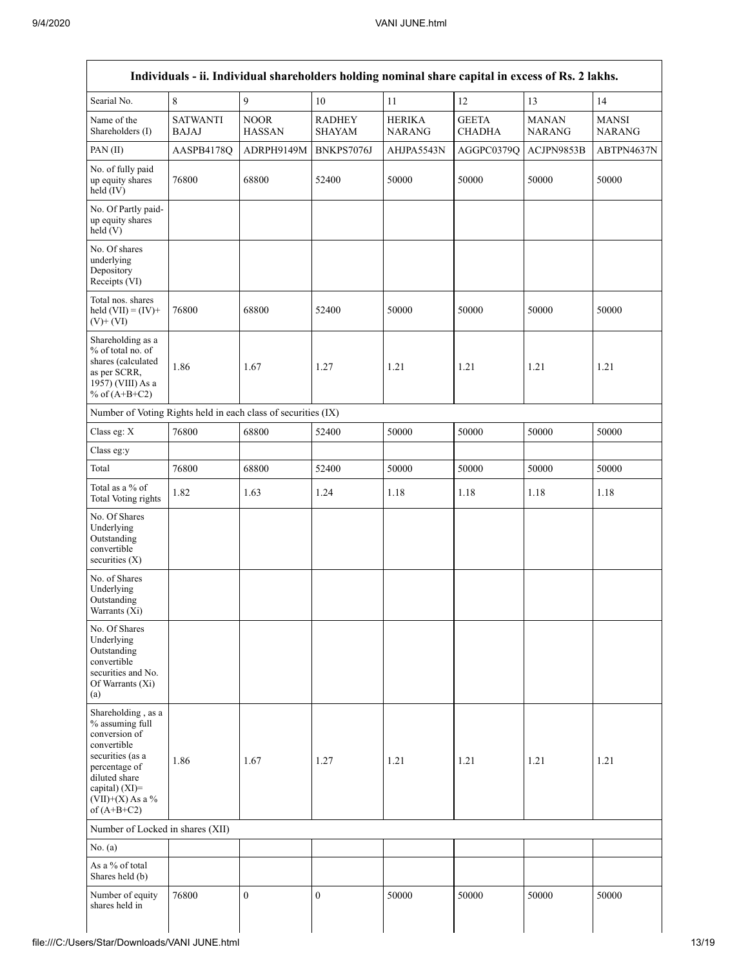| Searial No.                                                                                                                                                                          | $\,8\,$                         | $\overline{9}$               | $10\,$                         | 11                             | 12                            | 13                            | 14                            |
|--------------------------------------------------------------------------------------------------------------------------------------------------------------------------------------|---------------------------------|------------------------------|--------------------------------|--------------------------------|-------------------------------|-------------------------------|-------------------------------|
| Name of the<br>Shareholders (I)                                                                                                                                                      | <b>SATWANTI</b><br><b>BAJAJ</b> | <b>NOOR</b><br><b>HASSAN</b> | <b>RADHEY</b><br><b>SHAYAM</b> | <b>HERIKA</b><br><b>NARANG</b> | <b>GEETA</b><br><b>CHADHA</b> | <b>MANAN</b><br><b>NARANG</b> | <b>MANSI</b><br><b>NARANG</b> |
| PAN (II)                                                                                                                                                                             | AASPB4178Q                      | ADRPH9149M                   | BNKPS7076J                     | AHJPA5543N                     | AGGPC0379Q                    | ACJPN9853B                    | ABTPN4637N                    |
| No. of fully paid<br>up equity shares<br>$held$ (IV)                                                                                                                                 | 76800                           | 68800                        | 52400                          | 50000                          | 50000                         | 50000                         | 50000                         |
| No. Of Partly paid-<br>up equity shares<br>held(V)                                                                                                                                   |                                 |                              |                                |                                |                               |                               |                               |
| No. Of shares<br>underlying<br>Depository<br>Receipts (VI)                                                                                                                           |                                 |                              |                                |                                |                               |                               |                               |
| Total nos. shares<br>held $(VII) = (IV) +$<br>$(V)$ + $(VI)$                                                                                                                         | 76800                           | 68800                        | 52400                          | 50000                          | 50000                         | 50000                         | 50000                         |
| Shareholding as a<br>% of total no. of<br>shares (calculated<br>as per SCRR,<br>1957) (VIII) As a<br>% of $(A+B+C2)$                                                                 | 1.86                            | 1.67                         | 1.27                           | 1.21                           | 1.21                          | 1.21                          | 1.21                          |
| Number of Voting Rights held in each class of securities (IX)                                                                                                                        |                                 |                              |                                |                                |                               |                               |                               |
| Class eg: X                                                                                                                                                                          | 76800                           | 68800                        | 52400                          | 50000                          | 50000                         | 50000                         | 50000                         |
| Class eg:y                                                                                                                                                                           |                                 |                              |                                |                                |                               |                               |                               |
| Total                                                                                                                                                                                | 76800                           | 68800                        | 52400                          | 50000                          | 50000                         | 50000                         | 50000                         |
| Total as a % of<br>Total Voting rights                                                                                                                                               | 1.82                            | 1.63                         | 1.24                           | 1.18                           | 1.18                          | 1.18                          | 1.18                          |
| No. Of Shares<br>Underlying<br>Outstanding<br>convertible<br>securities (X)                                                                                                          |                                 |                              |                                |                                |                               |                               |                               |
| No. of Shares<br>Underlying<br>Outstanding<br>Warrants (Xi)                                                                                                                          |                                 |                              |                                |                                |                               |                               |                               |
| No. Of Shares<br>Underlying<br>Outstanding<br>convertible<br>securities and No.<br>Of Warrants (Xi)<br>(a)                                                                           |                                 |                              |                                |                                |                               |                               |                               |
| Shareholding, as a<br>% assuming full<br>conversion of<br>convertible<br>securities (as a<br>percentage of<br>diluted share<br>capital) (XI)=<br>$(VII)+(X)$ As a %<br>of $(A+B+C2)$ | 1.86                            | 1.67                         | 1.27                           | 1.21                           | 1.21                          | 1.21                          | 1.21                          |
| Number of Locked in shares (XII)                                                                                                                                                     |                                 |                              |                                |                                |                               |                               |                               |
| No. (a)                                                                                                                                                                              |                                 |                              |                                |                                |                               |                               |                               |
| As a % of total<br>Shares held (b)                                                                                                                                                   |                                 |                              |                                |                                |                               |                               |                               |
| Number of equity<br>shares held in                                                                                                                                                   | 76800                           | $\mathbf{0}$                 | $\boldsymbol{0}$               | 50000                          | 50000                         | 50000                         | 50000                         |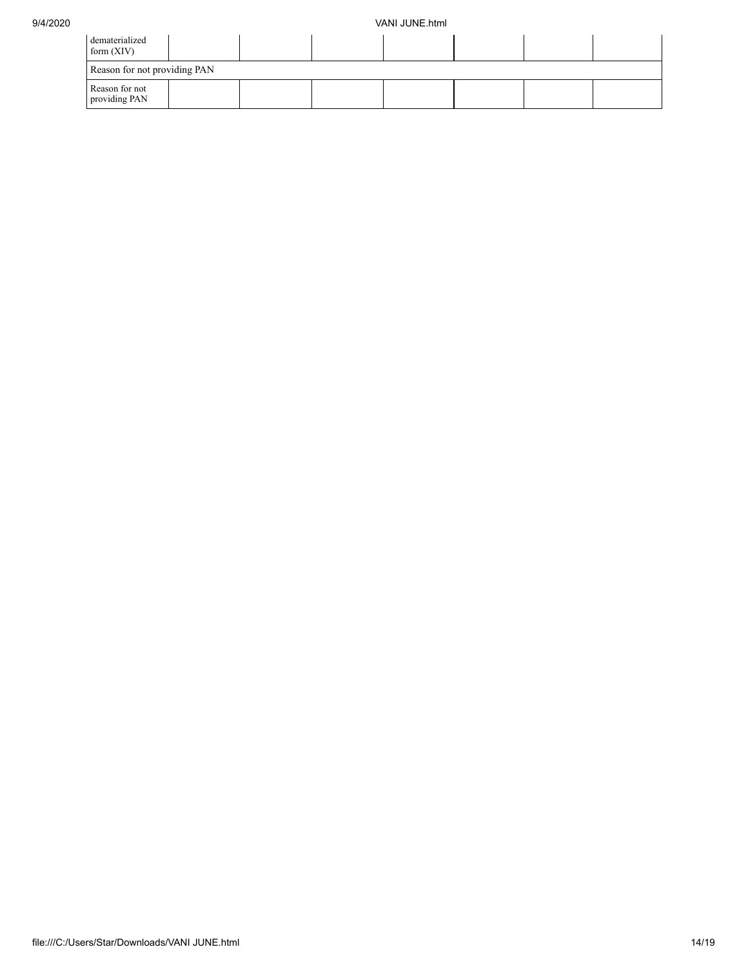| dematerialized<br>form $(XIV)$  |  |  |  |  |  |  |  |
|---------------------------------|--|--|--|--|--|--|--|
| Reason for not providing PAN    |  |  |  |  |  |  |  |
| Reason for not<br>providing PAN |  |  |  |  |  |  |  |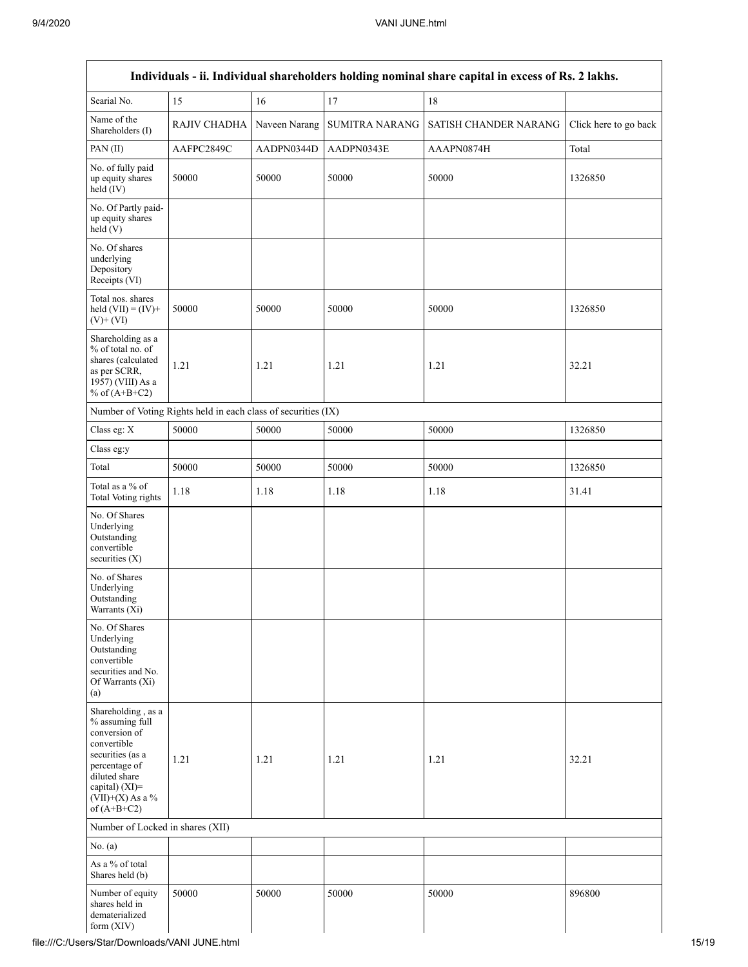|                                                                                                                                                                                         |                                                               |               |                       | Individuals - ii. Individual shareholders holding nominal share capital in excess of Rs. 2 lakhs. |                       |
|-----------------------------------------------------------------------------------------------------------------------------------------------------------------------------------------|---------------------------------------------------------------|---------------|-----------------------|---------------------------------------------------------------------------------------------------|-----------------------|
| Searial No.                                                                                                                                                                             | 15                                                            | 16            | 17                    | 18                                                                                                |                       |
| Name of the<br>Shareholders (I)                                                                                                                                                         | RAJIV CHADHA                                                  | Naveen Narang | <b>SUMITRA NARANG</b> | SATISH CHANDER NARANG                                                                             | Click here to go back |
| PAN (II)                                                                                                                                                                                | AAFPC2849C                                                    | AADPN0344D    | AADPN0343E            | AAAPN0874H                                                                                        | Total                 |
| No. of fully paid<br>up equity shares<br>held (IV)                                                                                                                                      | 50000                                                         | 50000         | 50000                 | 50000                                                                                             | 1326850               |
| No. Of Partly paid-<br>up equity shares<br>held(V)                                                                                                                                      |                                                               |               |                       |                                                                                                   |                       |
| No. Of shares<br>underlying<br>Depository<br>Receipts (VI)                                                                                                                              |                                                               |               |                       |                                                                                                   |                       |
| Total nos. shares<br>held $(VII) = (IV) +$<br>$(V)$ + $(VI)$                                                                                                                            | 50000                                                         | 50000         | 50000                 | 50000                                                                                             | 1326850               |
| Shareholding as a<br>% of total no. of<br>shares (calculated<br>as per SCRR,<br>1957) (VIII) As a<br>% of $(A+B+C2)$                                                                    | 1.21                                                          | 1.21          | 1.21                  | 1.21                                                                                              | 32.21                 |
|                                                                                                                                                                                         | Number of Voting Rights held in each class of securities (IX) |               |                       |                                                                                                   |                       |
| Class eg: X                                                                                                                                                                             | 50000                                                         | 50000         | 50000                 | 50000                                                                                             | 1326850               |
| Class eg:y                                                                                                                                                                              |                                                               |               |                       |                                                                                                   |                       |
| Total                                                                                                                                                                                   | 50000                                                         | 50000         | 50000                 | 50000                                                                                             | 1326850               |
| Total as a % of<br>Total Voting rights                                                                                                                                                  | 1.18                                                          | 1.18          | 1.18                  | 1.18                                                                                              | 31.41                 |
| No. Of Shares<br>Underlying<br>Outstanding<br>convertible<br>securities (X)                                                                                                             |                                                               |               |                       |                                                                                                   |                       |
| No. of Shares<br>Underlying<br>Outstanding<br>Warrants (Xi)                                                                                                                             |                                                               |               |                       |                                                                                                   |                       |
| No. Of Shares<br>Underlying<br>Outstanding<br>convertible<br>securities and No.<br>Of Warrants (Xi)<br>(a)                                                                              |                                                               |               |                       |                                                                                                   |                       |
| Shareholding, as a<br>% assuming full<br>conversion of<br>convertible<br>securities (as a<br>percentage of<br>diluted share<br>capital) $(XI)$ =<br>$(VII)+(X)$ As a %<br>of $(A+B+C2)$ | 1.21                                                          | 1.21          | 1.21                  | 1.21                                                                                              | 32.21                 |
| Number of Locked in shares (XII)                                                                                                                                                        |                                                               |               |                       |                                                                                                   |                       |
| No. (a)                                                                                                                                                                                 |                                                               |               |                       |                                                                                                   |                       |
| As a % of total<br>Shares held (b)                                                                                                                                                      |                                                               |               |                       |                                                                                                   |                       |
| Number of equity<br>shares held in<br>dematerialized<br>form $(XIV)$                                                                                                                    | 50000                                                         | 50000         | 50000                 | 50000                                                                                             | 896800                |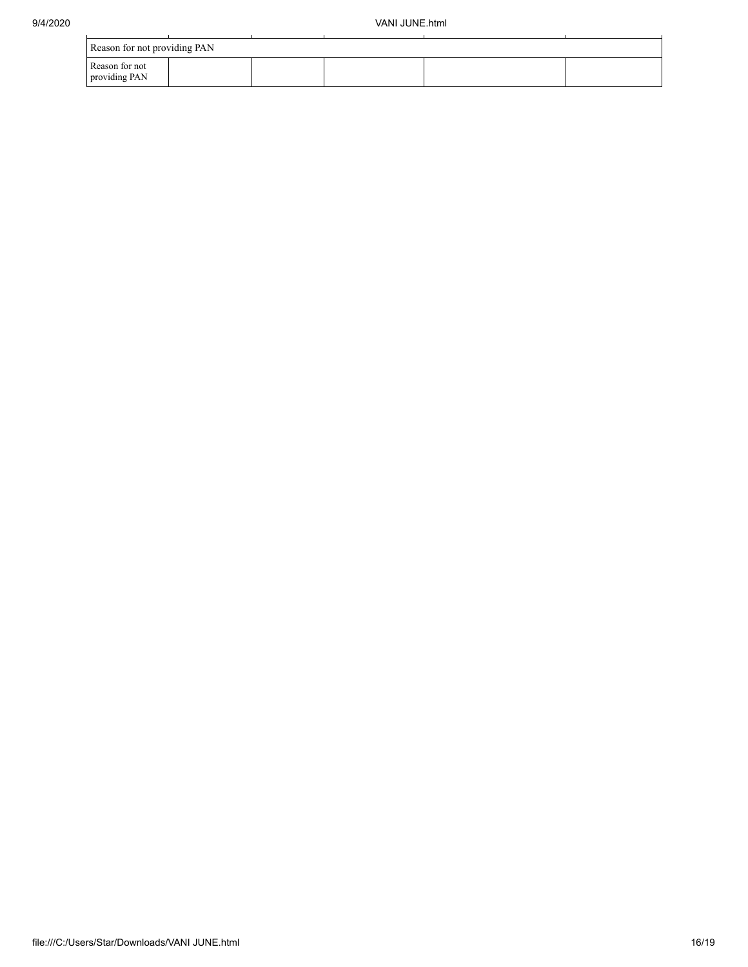| Reason for not providing PAN    |  |  |  |
|---------------------------------|--|--|--|
| Reason for not<br>providing PAN |  |  |  |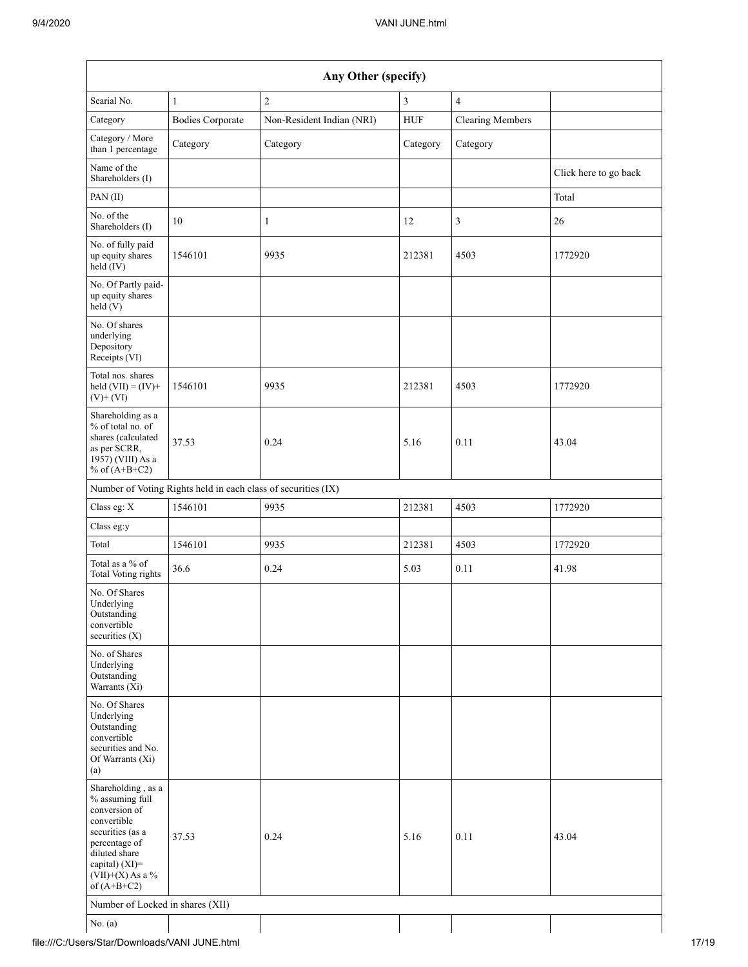| Any Other (specify)                                                                                                                                                                  |                                                               |                           |          |                         |                       |  |  |
|--------------------------------------------------------------------------------------------------------------------------------------------------------------------------------------|---------------------------------------------------------------|---------------------------|----------|-------------------------|-----------------------|--|--|
| Searial No.                                                                                                                                                                          | $\mathbf{1}$                                                  | $\overline{c}$            | 3        | $\overline{4}$          |                       |  |  |
| Category                                                                                                                                                                             | <b>Bodies Corporate</b>                                       | Non-Resident Indian (NRI) | HUF      | <b>Clearing Members</b> |                       |  |  |
| Category / More<br>than 1 percentage                                                                                                                                                 | Category                                                      | Category                  | Category | Category                |                       |  |  |
| Name of the<br>Shareholders (I)                                                                                                                                                      |                                                               |                           |          |                         | Click here to go back |  |  |
| PAN (II)                                                                                                                                                                             |                                                               |                           |          |                         | Total                 |  |  |
| No. of the<br>Shareholders (I)                                                                                                                                                       | 10                                                            | $\mathbf{1}$              | 12       | 3                       | 26                    |  |  |
| No. of fully paid<br>up equity shares<br>$held$ (IV)                                                                                                                                 | 1546101                                                       | 9935                      | 212381   | 4503                    | 1772920               |  |  |
| No. Of Partly paid-<br>up equity shares<br>held(V)                                                                                                                                   |                                                               |                           |          |                         |                       |  |  |
| No. Of shares<br>underlying<br>Depository<br>Receipts (VI)                                                                                                                           |                                                               |                           |          |                         |                       |  |  |
| Total nos. shares<br>held $(VII) = (IV) +$<br>$(V)$ + $(VI)$                                                                                                                         | 1546101                                                       | 9935                      | 212381   | 4503                    | 1772920               |  |  |
| Shareholding as a<br>% of total no. of<br>shares (calculated<br>as per SCRR,<br>1957) (VIII) As a<br>% of $(A+B+C2)$                                                                 | 37.53                                                         | 0.24                      | 5.16     | 0.11                    | 43.04                 |  |  |
|                                                                                                                                                                                      | Number of Voting Rights held in each class of securities (IX) |                           |          |                         |                       |  |  |
| Class eg: X                                                                                                                                                                          | 1546101                                                       | 9935                      | 212381   | 4503                    | 1772920               |  |  |
| Class eg:y                                                                                                                                                                           |                                                               |                           |          |                         |                       |  |  |
| Total                                                                                                                                                                                | 1546101                                                       | 9935                      | 212381   | 4503                    | 1772920               |  |  |
| Total as a % of<br><b>Total Voting rights</b>                                                                                                                                        | 36.6                                                          | 0.24                      | 5.03     | 0.11                    | 41.98                 |  |  |
| No. Of Shares<br>Underlying<br>Outstanding<br>convertible<br>securities $(X)$                                                                                                        |                                                               |                           |          |                         |                       |  |  |
| No. of Shares<br>Underlying<br>Outstanding<br>Warrants (Xi)                                                                                                                          |                                                               |                           |          |                         |                       |  |  |
| No. Of Shares<br>Underlying<br>Outstanding<br>convertible<br>securities and No.<br>Of Warrants (Xi)<br>(a)                                                                           |                                                               |                           |          |                         |                       |  |  |
| Shareholding, as a<br>% assuming full<br>conversion of<br>convertible<br>securities (as a<br>percentage of<br>diluted share<br>capital) (XI)=<br>$(VII)+(X)$ As a %<br>of $(A+B+C2)$ | 37.53                                                         | 0.24                      | 5.16     | 0.11                    | 43.04                 |  |  |
| Number of Locked in shares (XII)                                                                                                                                                     |                                                               |                           |          |                         |                       |  |  |
| No. (a)                                                                                                                                                                              |                                                               |                           |          |                         |                       |  |  |

file:///C:/Users/Star/Downloads/VANI JUNE.html 17/19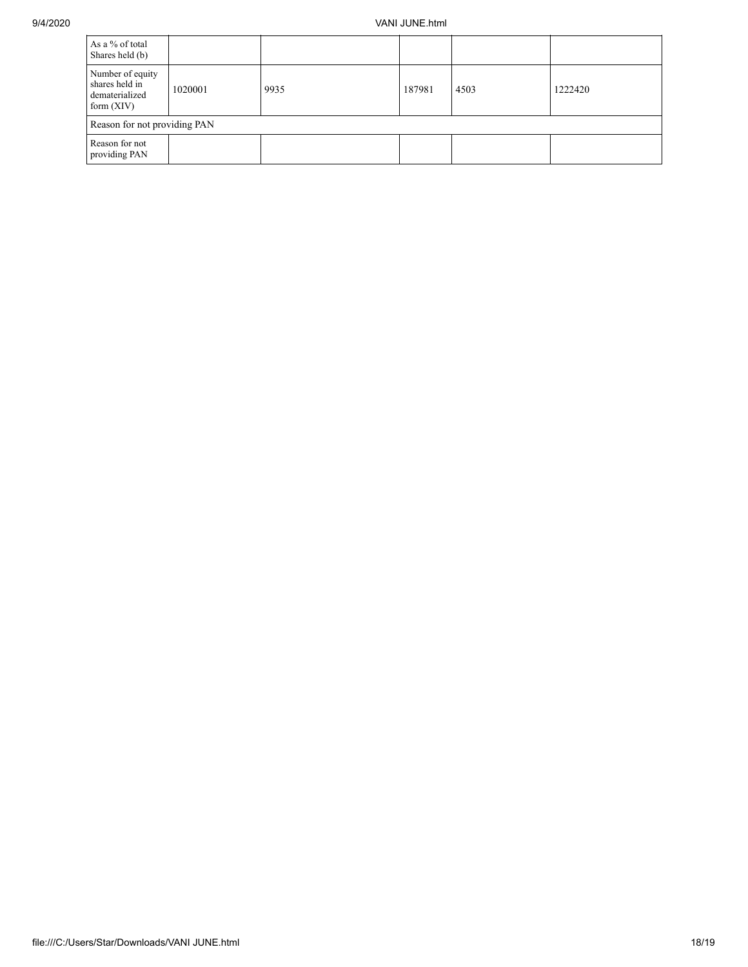| As a % of total<br>Shares held (b)                                   |         |      |        |      |         |  |
|----------------------------------------------------------------------|---------|------|--------|------|---------|--|
| Number of equity<br>shares held in<br>dematerialized<br>form $(XIV)$ | 1020001 | 9935 | 187981 | 4503 | 1222420 |  |
| Reason for not providing PAN                                         |         |      |        |      |         |  |
| Reason for not<br>providing PAN                                      |         |      |        |      |         |  |